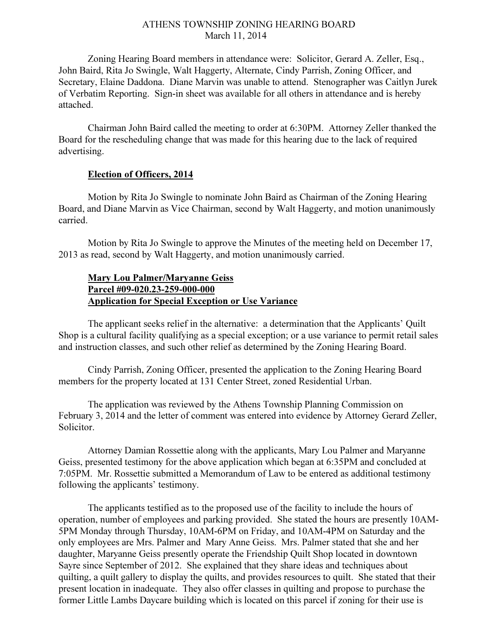## ATHENS TOWNSHIP ZONING HEARING BOARD March 11, 2014

Zoning Hearing Board members in attendance were: Solicitor, Gerard A. Zeller, Esq., John Baird, Rita Jo Swingle, Walt Haggerty, Alternate, Cindy Parrish, Zoning Officer, and Secretary, Elaine Daddona. Diane Marvin was unable to attend. Stenographer was Caitlyn Jurek of Verbatim Reporting. Sign-in sheet was available for all others in attendance and is hereby attached.

Chairman John Baird called the meeting to order at 6:30PM. Attorney Zeller thanked the Board for the rescheduling change that was made for this hearing due to the lack of required advertising.

## Election of Officers, 2014

Motion by Rita Jo Swingle to nominate John Baird as Chairman of the Zoning Hearing Board, and Diane Marvin as Vice Chairman, second by Walt Haggerty, and motion unanimously carried.

Motion by Rita Jo Swingle to approve the Minutes of the meeting held on December 17, 2013 as read, second by Walt Haggerty, and motion unanimously carried.

## Mary Lou Palmer/Maryanne Geiss Parcel #09-020.23-259-000-000 Application for Special Exception or Use Variance

 The applicant seeks relief in the alternative: a determination that the Applicants' Quilt Shop is a cultural facility qualifying as a special exception; or a use variance to permit retail sales and instruction classes, and such other relief as determined by the Zoning Hearing Board.

 Cindy Parrish, Zoning Officer, presented the application to the Zoning Hearing Board members for the property located at 131 Center Street, zoned Residential Urban.

 The application was reviewed by the Athens Township Planning Commission on February 3, 2014 and the letter of comment was entered into evidence by Attorney Gerard Zeller, Solicitor.

 Attorney Damian Rossettie along with the applicants, Mary Lou Palmer and Maryanne Geiss, presented testimony for the above application which began at 6:35PM and concluded at 7:05PM. Mr. Rossettie submitted a Memorandum of Law to be entered as additional testimony following the applicants' testimony.

 The applicants testified as to the proposed use of the facility to include the hours of operation, number of employees and parking provided. She stated the hours are presently 10AM-5PM Monday through Thursday, 10AM-6PM on Friday, and 10AM-4PM on Saturday and the only employees are Mrs. Palmer and Mary Anne Geiss. Mrs. Palmer stated that she and her daughter, Maryanne Geiss presently operate the Friendship Quilt Shop located in downtown Sayre since September of 2012. She explained that they share ideas and techniques about quilting, a quilt gallery to display the quilts, and provides resources to quilt. She stated that their present location in inadequate. They also offer classes in quilting and propose to purchase the former Little Lambs Daycare building which is located on this parcel if zoning for their use is